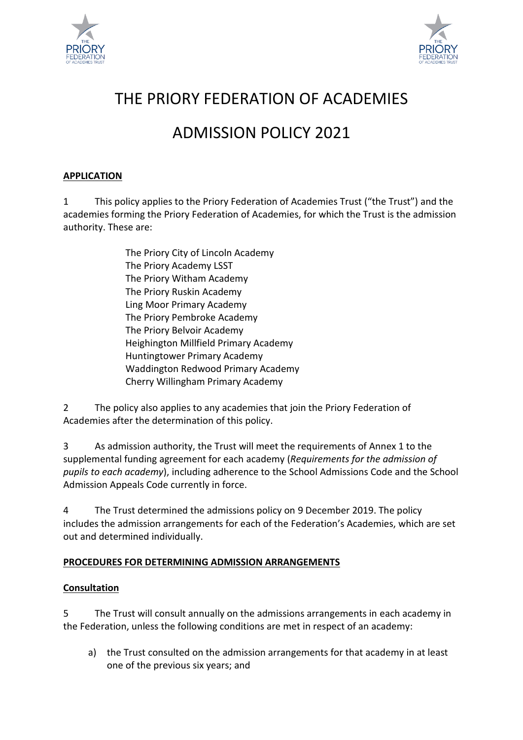



# THE PRIORY FEDERATION OF ACADEMIES

# ADMISSION POLICY 2021

### **APPLICATION**

1 This policy applies to the Priory Federation of Academies Trust ("the Trust") and the academies forming the Priory Federation of Academies, for which the Trust is the admission authority. These are:

> The Priory City of Lincoln Academy The Priory Academy LSST The Priory Witham Academy The Priory Ruskin Academy Ling Moor Primary Academy The Priory Pembroke Academy The Priory Belvoir Academy Heighington Millfield Primary Academy Huntingtower Primary Academy Waddington Redwood Primary Academy Cherry Willingham Primary Academy

2 The policy also applies to any academies that join the Priory Federation of Academies after the determination of this policy.

3 As admission authority, the Trust will meet the requirements of Annex 1 to the supplemental funding agreement for each academy (*Requirements for the admission of pupils to each academy*), including adherence to the School Admissions Code and the School Admission Appeals Code currently in force.

4 The Trust determined the admissions policy on 9 December 2019. The policy includes the admission arrangements for each of the Federation's Academies, which are set out and determined individually.

# **PROCEDURES FOR DETERMINING ADMISSION ARRANGEMENTS**

#### **Consultation**

5 The Trust will consult annually on the admissions arrangements in each academy in the Federation, unless the following conditions are met in respect of an academy:

a) the Trust consulted on the admission arrangements for that academy in at least one of the previous six years; and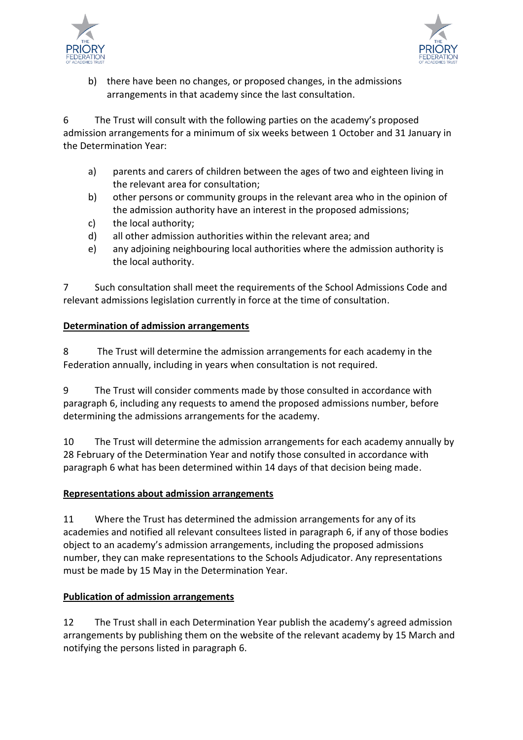



b) there have been no changes, or proposed changes, in the admissions arrangements in that academy since the last consultation.

6 The Trust will consult with the following parties on the academy's proposed admission arrangements for a minimum of six weeks between 1 October and 31 January in the Determination Year:

- a) parents and carers of children between the ages of two and eighteen living in the relevant area for consultation;
- b) other persons or community groups in the relevant area who in the opinion of the admission authority have an interest in the proposed admissions;
- c) the local authority;
- d) all other admission authorities within the relevant area; and
- e) any adjoining neighbouring local authorities where the admission authority is the local authority.

7 Such consultation shall meet the requirements of the School Admissions Code and relevant admissions legislation currently in force at the time of consultation.

# **Determination of admission arrangements**

8 The Trust will determine the admission arrangements for each academy in the Federation annually, including in years when consultation is not required.

9 The Trust will consider comments made by those consulted in accordance with paragraph 6, including any requests to amend the proposed admissions number, before determining the admissions arrangements for the academy.

10 The Trust will determine the admission arrangements for each academy annually by 28 February of the Determination Year and notify those consulted in accordance with paragraph 6 what has been determined within 14 days of that decision being made.

# **Representations about admission arrangements**

11 Where the Trust has determined the admission arrangements for any of its academies and notified all relevant consultees listed in paragraph 6, if any of those bodies object to an academy's admission arrangements, including the proposed admissions number, they can make representations to the Schools Adjudicator. Any representations must be made by 15 May in the Determination Year.

# **Publication of admission arrangements**

12 The Trust shall in each Determination Year publish the academy's agreed admission arrangements by publishing them on the website of the relevant academy by 15 March and notifying the persons listed in paragraph 6.